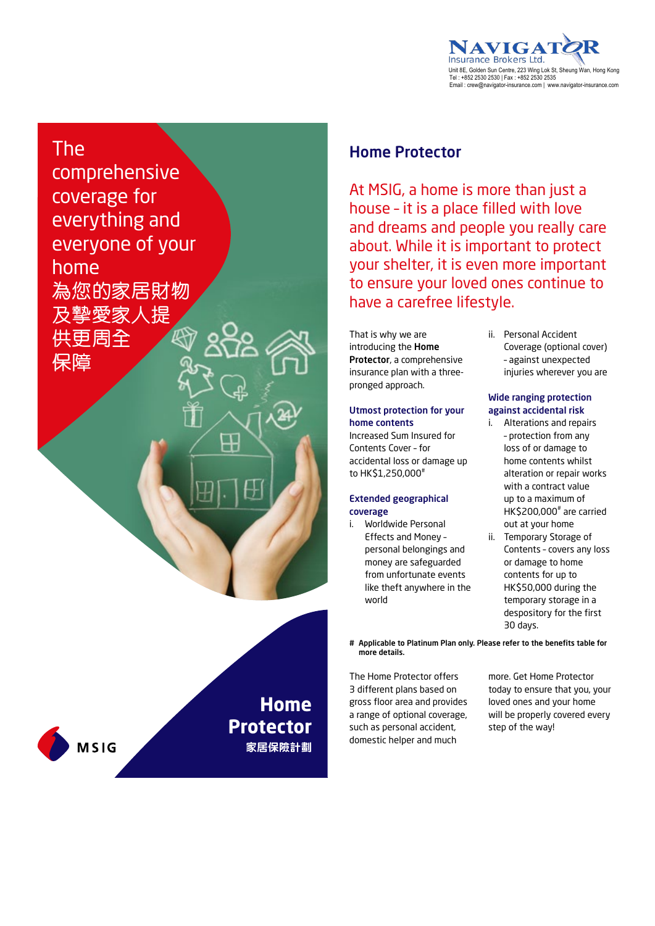

### The comprehensive coverage for everything and everyone of your home 為您的家居財物

及摯愛家人提 供更周全

保障

**MSIG** 

#### Home Protector

At MSIG, a home is more than just a house – it is a place filled with love and dreams and people you really care about. While it is important to protect your shelter, it is even more important to ensure your loved ones continue to have a carefree lifestyle.

That is why we are introducing the Home Protector, a comprehensive insurance plan with a threepronged approach.

#### Utmost protection for your home contents

Increased Sum Insured for Contents Cover – for accidental loss or damage up to HK\$1,250,000#

#### Extended geographical coverage

i. Worldwide Personal Effects and Money – personal belongings and money are safeguarded from unfortunate events like theft anywhere in the world

ii. Personal Accident Coverage (optional cover) – against unexpected injuries wherever you are

#### Wide ranging protection against accidental risk

- i. Alterations and repairs – protection from any loss of or damage to home contents whilst alteration or repair works with a contract value up to a maximum of HK\$200,000# are carried out at your home
- ii. Temporary Storage of Contents – covers any loss or damage to home contents for up to HK\$50,000 during the temporary storage in a despository for the first 30 days.
- # Applicable to Platinum Plan only. Please refer to the benefits table for more details.

The Home Protector offers 3 different plans based on gross floor area and provides a range of optional coverage, such as personal accident, domestic helper and much

**Home** 

**Protector**

**家居保險計劃**

more. Get Home Protector today to ensure that you, your loved ones and your home will be properly covered every step of the way!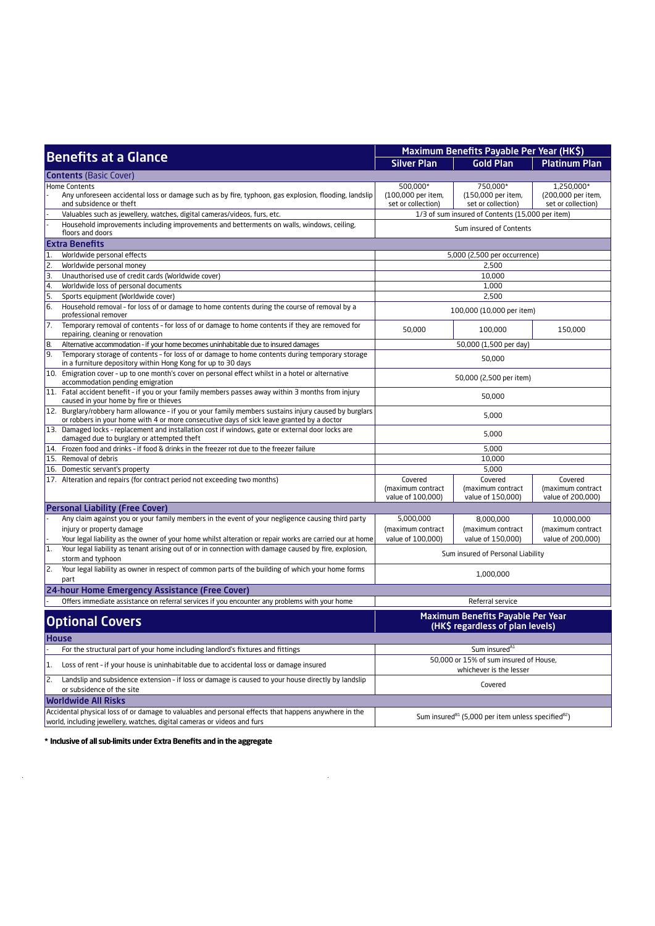|                  |                                                                                                                                                                                                     | Maximum Benefits Payable Per Year (HK\$)                                                               |                                                                   |                                                        |
|------------------|-----------------------------------------------------------------------------------------------------------------------------------------------------------------------------------------------------|--------------------------------------------------------------------------------------------------------|-------------------------------------------------------------------|--------------------------------------------------------|
|                  | <b>Benefits at a Glance</b>                                                                                                                                                                         | <b>Silver Plan</b>                                                                                     | <b>Gold Plan</b>                                                  | <b>Platinum Plan</b>                                   |
|                  | <b>Contents (Basic Cover)</b>                                                                                                                                                                       |                                                                                                        |                                                                   |                                                        |
|                  | <b>Home Contents</b><br>Any unforeseen accidental loss or damage such as by fire, typhoon, gas explosion, flooding, landslip<br>and subsidence or theft                                             | 500,000*<br>(100,000 per item,<br>set or collection)                                                   | 750,000*<br>(150,000 per item,<br>set or collection)              | 1,250,000*<br>(200,000 per item,<br>set or collection) |
|                  | Valuables such as jewellery, watches, digital cameras/videos, furs, etc.                                                                                                                            |                                                                                                        | 1/3 of sum insured of Contents (15,000 per item)                  |                                                        |
|                  | Household improvements including improvements and betterments on walls, windows, ceiling,<br>floors and doors                                                                                       |                                                                                                        | Sum insured of Contents                                           |                                                        |
|                  | <b>Extra Benefits</b>                                                                                                                                                                               |                                                                                                        |                                                                   |                                                        |
| $\vert$ 1.       | Worldwide personal effects                                                                                                                                                                          |                                                                                                        | 5,000 (2,500 per occurrence)                                      |                                                        |
| 2.               | Worldwide personal money                                                                                                                                                                            |                                                                                                        | 2,500                                                             |                                                        |
| $\overline{3}$ . | Unauthorised use of credit cards (Worldwide cover)                                                                                                                                                  |                                                                                                        | 10,000                                                            |                                                        |
| $\overline{4}$   | Worldwide loss of personal documents                                                                                                                                                                |                                                                                                        | 1,000                                                             |                                                        |
| 5.               | Sports equipment (Worldwide cover)                                                                                                                                                                  |                                                                                                        | 2,500                                                             |                                                        |
| 6.               | Household removal - for loss of or damage to home contents during the course of removal by a<br>professional remover                                                                                |                                                                                                        | 100,000 (10,000 per item)                                         |                                                        |
| $\overline{7}$ . | Temporary removal of contents - for loss of or damage to home contents if they are removed for<br>repairing, cleaning or renovation                                                                 | 50,000                                                                                                 | 100,000                                                           | 150,000                                                |
| 8.               | Alternative accommodation - if your home becomes uninhabitable due to insured damages                                                                                                               | 50,000 (1,500 per day)                                                                                 |                                                                   |                                                        |
| 9.               | Temporary storage of contents - for loss of or damage to home contents during temporary storage<br>in a furniture depository within Hong Kong for up to 30 days                                     | 50,000                                                                                                 |                                                                   |                                                        |
|                  | 10. Emigration cover - up to one month's cover on personal effect whilst in a hotel or alternative<br>accommodation pending emigration                                                              | 50,000 (2,500 per item)                                                                                |                                                                   |                                                        |
|                  | 11. Fatal accident benefit - if you or your family members passes away within 3 months from injury<br>caused in your home by fire or thieves                                                        | 50,000                                                                                                 |                                                                   |                                                        |
|                  | 12. Burglary/robbery harm allowance - if you or your family members sustains injury caused by burglars<br>or robbers in your home with 4 or more consecutive days of sick leave granted by a doctor | 5,000                                                                                                  |                                                                   |                                                        |
|                  | 13. Damaged locks - replacement and installation cost if windows, gate or external door locks are<br>damaged due to burglary or attempted theft                                                     | 5,000                                                                                                  |                                                                   |                                                        |
|                  | 14. Frozen food and drinks - if food & drinks in the freezer rot due to the freezer failure                                                                                                         | 5,000                                                                                                  |                                                                   |                                                        |
|                  | 15. Removal of debris                                                                                                                                                                               | 10,000                                                                                                 |                                                                   |                                                        |
|                  | 16. Domestic servant's property                                                                                                                                                                     | 5,000                                                                                                  |                                                                   |                                                        |
|                  | 17. Alteration and repairs (for contract period not exceeding two months)                                                                                                                           | Covered<br>Covered<br>(maximum contract<br>(maximum contract<br>value of 100,000)<br>value of 150,000) |                                                                   | Covered<br>(maximum contract<br>value of 200,000)      |
|                  | <b>Personal Liability (Free Cover)</b>                                                                                                                                                              |                                                                                                        |                                                                   |                                                        |
|                  | Any claim against you or your family members in the event of your negligence causing third party                                                                                                    | 5,000,000                                                                                              | 8,000,000                                                         | 10,000,000                                             |
|                  | injury or property damage                                                                                                                                                                           | (maximum contract                                                                                      | (maximum contract                                                 | (maximum contract                                      |
|                  | Your legal liability as the owner of your home whilst alteration or repair works are carried our at home                                                                                            | value of 100,000)                                                                                      | value of 150,000)                                                 | value of 200,000)                                      |
| 1.               | Your legal liability as tenant arising out of or in connection with damage caused by fire, explosion,<br>storm and typhoon                                                                          |                                                                                                        | Sum insured of Personal Liability                                 |                                                        |
| 2.               | Your legal liability as owner in respect of common parts of the building of which your home forms<br>part                                                                                           |                                                                                                        | 1,000,000                                                         |                                                        |
|                  | 24-hour Home Emergency Assistance (Free Cover)                                                                                                                                                      |                                                                                                        |                                                                   |                                                        |
|                  | Offers immediate assistance on referral services if you encounter any problems with your home                                                                                                       |                                                                                                        | Referral service                                                  |                                                        |
|                  | <b>Optional Covers</b>                                                                                                                                                                              | Maximum Benefits Payable Per Year<br>(HK\$ regardless of plan levels)                                  |                                                                   |                                                        |
|                  | <b>House</b>                                                                                                                                                                                        |                                                                                                        |                                                                   |                                                        |
|                  | For the structural part of your home including landlord's fixtures and fittings                                                                                                                     |                                                                                                        | Sum insured <sup>41</sup>                                         |                                                        |
| 1.               | Loss of rent - if your house is uninhabitable due to accidental loss or damage insured                                                                                                              |                                                                                                        | 50,000 or 15% of sum insured of House,<br>whichever is the lesser |                                                        |
| 2.               | Landslip and subsidence extension - if loss or damage is caused to your house directly by landslip<br>or subsidence of the site                                                                     |                                                                                                        | Covered                                                           |                                                        |
|                  | <b>Worldwide All Risks</b>                                                                                                                                                                          |                                                                                                        |                                                                   |                                                        |
|                  | Accidental physical loss of or damage to valuables and personal effects that happens anywhere in the                                                                                                |                                                                                                        |                                                                   |                                                        |
|                  | world, including jewellery, watches, digital cameras or videos and furs                                                                                                                             | Sum insured <sup>81</sup> (5,000 per item unless specified <sup>82</sup> )                             |                                                                   |                                                        |

 $\ddot{\phantom{a}}$ 

\* Inclusive of all sub-limits under Extra Benefits and in the aggregate

 $\frac{1}{2}$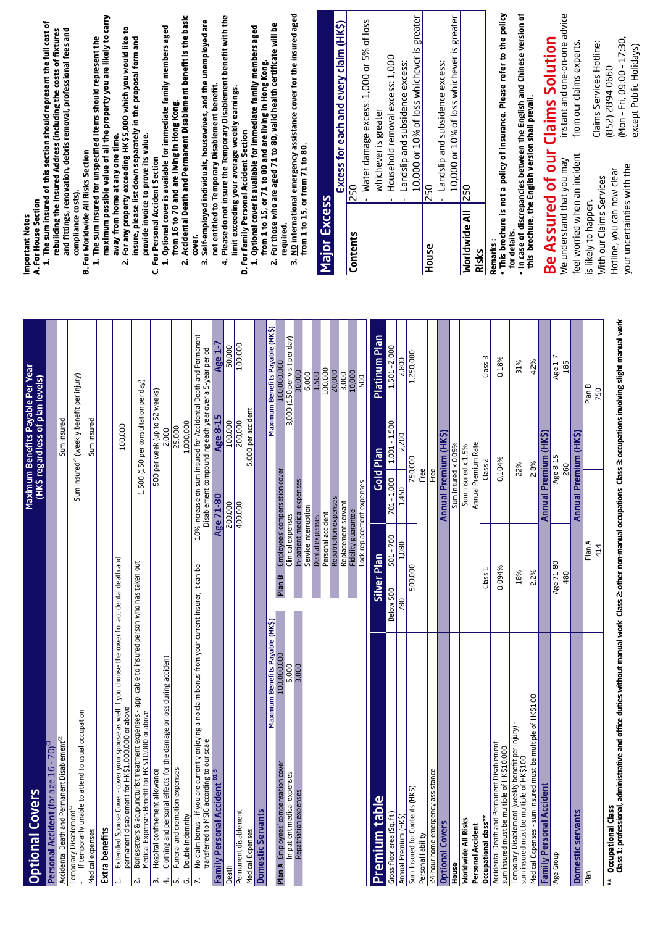|                                                                                                                                                                      |                                 |             |                                                     | Maximum Benefits Payable Per Year<br>(HK\$ regardless of plan levels) |                                                                |
|----------------------------------------------------------------------------------------------------------------------------------------------------------------------|---------------------------------|-------------|-----------------------------------------------------|-----------------------------------------------------------------------|----------------------------------------------------------------|
| $16 - 70$ <sup><math>\overline{a}</math></sup><br>Personal Accident (for age                                                                                         |                                 |             |                                                     |                                                                       |                                                                |
| Disablement <sup>ca</sup><br>Accidental Death and Permanent                                                                                                          |                                 |             |                                                     | Sum insured                                                           |                                                                |
| If temporarily unable to attend to usual occupation<br>Temporary Disablement <sup>c3</sup>                                                                           |                                 |             |                                                     | Sum insured <sup>c4</sup> (weekly benefit per injury)                 |                                                                |
| Medical expenses                                                                                                                                                     |                                 |             |                                                     | Sum insured                                                           |                                                                |
| Extra benefits                                                                                                                                                       |                                 |             |                                                     |                                                                       |                                                                |
| Extended Spouse Cover - cover your spouse as well if you choose the cover for accidental death and<br>permanent disablement for HK\$1,000,000 or above<br>$\ddot{ }$ |                                 |             |                                                     | 100,000                                                               |                                                                |
| treatment expenses - applicable to insured person who has taken out<br>Medical Expenses Benefit for HK\$10,000 or above<br>Bonesetters & acupuncturist<br>Ń          |                                 |             |                                                     | 1,500 (150 per consultation per day)                                  |                                                                |
| Hospital confinement allowance<br>m                                                                                                                                  |                                 |             |                                                     | 500 per week (up to 52 weeks)                                         |                                                                |
| Clothing and personal effects for the damage or loss during accident<br>4.                                                                                           |                                 |             |                                                     | 2,000                                                                 |                                                                |
| Funeral and cremation expenses<br>Double Indemnity<br>LŃ<br>ق                                                                                                        |                                 |             |                                                     | 1,000,000<br>25,000                                                   |                                                                |
| No claim bonus - if you are currently enjoying a no claim bonus from your current insurer, it can be<br>transferred to MSIG according to our scale                   |                                 |             |                                                     | Disablement compounding each year over a 5-year period                | 10% increase on sum insured for Accidental Death and Permanent |
| $01-3$<br><b>Family Personal Accident</b>                                                                                                                            |                                 |             | Age 71-80                                           | Age 8-15                                                              | Age 1-7                                                        |
| Death                                                                                                                                                                |                                 |             | 200,000                                             | 100,000                                                               | 50,000                                                         |
| Permanent disablement                                                                                                                                                |                                 |             | 400,000                                             | 200,000                                                               | 100,000                                                        |
| Medical Expenses                                                                                                                                                     |                                 |             |                                                     | 5,000 per accident                                                    |                                                                |
| <b>Domestic Servants</b>                                                                                                                                             |                                 |             |                                                     |                                                                       |                                                                |
|                                                                                                                                                                      | Maximum Benefits Payable (HK\$) |             |                                                     |                                                                       | Maximum Benefits Payable (HK\$)                                |
| cover<br>Plan A Employees' compensation                                                                                                                              | 100,000,000                     | Plan B      | Employees' compensation cover                       |                                                                       | 100,000,000                                                    |
| ပ္ပ<br>In-patient medical expens                                                                                                                                     | 5,000                           |             | Clinical expenses                                   |                                                                       | 3,000 (150 per visit per day)<br>30,000                        |
| Repatriation expenses                                                                                                                                                | 3,000                           |             | In-patient medical expenses<br>Service interruption |                                                                       | 6,000                                                          |
|                                                                                                                                                                      |                                 |             | Dental expenses                                     |                                                                       | 1,500                                                          |
|                                                                                                                                                                      |                                 |             | Personal accident                                   |                                                                       | 100,000                                                        |
|                                                                                                                                                                      |                                 |             | Repatriation expenses                               |                                                                       | 20,000<br>3,000                                                |
|                                                                                                                                                                      |                                 |             | Replacement servant<br>Fidelity guarantee           |                                                                       | 10,000                                                         |
|                                                                                                                                                                      |                                 |             | Lock replacement expenses                           |                                                                       | 500                                                            |
| Premium table                                                                                                                                                        |                                 | Silver Plan |                                                     | Gold Plan                                                             | Platinum Plan                                                  |
|                                                                                                                                                                      |                                 |             |                                                     |                                                                       |                                                                |
| Gross floor area (Sq. ft.)                                                                                                                                           |                                 | Below 500   | $701 - 1,000$<br>$501 - 700$                        | $1,001 - 1,500$                                                       | 1,501 - 2,000                                                  |
| Annual Premium (HK\$)                                                                                                                                                |                                 | 780         | 1,450<br>1,080                                      | 2,200                                                                 | 2,800                                                          |
| Sum Insured for Contents (HK\$)                                                                                                                                      |                                 | 500,000     |                                                     | 750,000                                                               | 1,250,000                                                      |
| nce<br>24-hour home emergency assista<br>Personal liability                                                                                                          |                                 |             |                                                     | Free<br>Free                                                          |                                                                |
| <b>Optional Covers</b>                                                                                                                                               |                                 |             |                                                     | Annual Premium (HK\$)                                                 |                                                                |
| House                                                                                                                                                                |                                 |             |                                                     | Sum insured x 0.09%                                                   |                                                                |
| <b>Worldwide All Risks</b>                                                                                                                                           |                                 |             |                                                     | Sum insured x 1.5%                                                    |                                                                |
| Personal Accident                                                                                                                                                    |                                 |             |                                                     | Annual Premium Rate                                                   |                                                                |
| Occupational class**                                                                                                                                                 |                                 | Class 1     |                                                     | Class 2                                                               | m<br>Class                                                     |
| Disablement<br>sum insured must be multiple of HK\$10,000<br>Accidental Death and Permanent                                                                          |                                 | 0.094%      |                                                     | 0.104%                                                                | 0.18%                                                          |
| Temporary Disablement (weekly benefit per injury)<br>sum insured must be multiple of HK\$100                                                                         |                                 | 18%         |                                                     | 22%                                                                   | 31%                                                            |
| Medical Expenses - sum insured must be multiple of HK\$100                                                                                                           |                                 | 2.2%        |                                                     | 2.8%                                                                  | 4.2%                                                           |
| Family Personal Accident                                                                                                                                             |                                 |             |                                                     | Annual Premium (HK\$)                                                 |                                                                |
| Age Group                                                                                                                                                            |                                 | Age 71-80   |                                                     | Age 8-15                                                              | Age 1-7                                                        |
|                                                                                                                                                                      |                                 | 480         |                                                     | 260                                                                   | 185                                                            |
| Domestic servants                                                                                                                                                    |                                 |             |                                                     | Annual Premium (HK\$)                                                 |                                                                |
| $P$ lan                                                                                                                                                              |                                 |             | Plan A                                              |                                                                       | Plan B                                                         |
|                                                                                                                                                                      |                                 |             | 414                                                 |                                                                       | 750                                                            |

#### A. For House Section **A. For House Section** Important Notes **Important Notes**

- **1. The sum insured of this section should represent the full cost of**  1. The sum insured of this section should represent the full cost of rebuilding the Insured Address (including the costs of fixtures **rebuilding the Insured Address (including the costs of fixtures**  and fittings, renovation, debris removal, professional fees and **and fittings, renovation, debris removal, professional fees and compliance costs).** compliance costs)
	- **B. For Worldwide All Risks Section B. For Worldwide All Risks Section**
- **maximum possible value of all the property you are likely to carry**  maximum possible value of all the property you are likely to carry 1. The sum insured for unspecified items should represent the **1. The sum insured for unspecified items should represent the**  away from home at any one time. **away from home at any one time.**
	- 2. For any property exceeding HK\$5,000 which you would like to **2. For any property exceeding HK\$5,000 which you would like to insure, please list down separately in the proposal form and**  insure, please list down separately in the proposal form and provide invoice to prove its value. **provide invoice to prove its value.**
		- **C. For Personal Accident Section C. For Personal Accident Section**
- 1. Optional cover is available for immediate family members aged **1. Optional cover is available for immediate family members aged**  from 16 to 70 and are living in Hong Kong. **from 16 to 70 and are living in Hong Kong.**
- 2. Accidental Death and Permanent Disablement benefit is the basic **2. Accidental Death and Permanent Disablement benefit is the basic cover.**
- **3. Self-employed individuals, housewives, and the unemployed are**  3. Self-employed individuals, housewives, and the unemployed are not entitled to Temporary Disablement benefit. **not entitled to Temporary Disablement benefit.**
- **4. Please do not insure the Temporary Disablement benefit with the**  4. Please do not insure the Temporary Disablement benefit with the limit exceeding your average weekly earnings. **limit exceeding your average weekly earnings.**
	- 1. Optional cover is available for immediate family members aged **1. Optional cover is available for immediate family members aged**  from 1 to 15, or 71 to 80 and are living in Hong Kong. **from 1 to 15, or 71 to 80 and are living in Hong Kong.** D. For Family Personal Accident Section **D. For Family Personal Accident Section**
- **2. For those who are aged 71 to 80, valid health certificate will be**  2. For those who are aged 71 to 80, valid health certificate will be **required.**
- 3. NO international emergency assistance cover for the insured aged **3. NO international emergency assistance cover for the insured aged**  from 1 to 15, or from 71 to 80. **from 1 to 15, or from 71 to 80.**

# Major Excess **Major Excess**

|                    | Excess for each and every claim (HK\$)     |
|--------------------|--------------------------------------------|
| <b>Contents</b>    | 250                                        |
|                    | Water damage excess: 1,000 or 5% of loss   |
|                    | whichever is greater                       |
|                    | Household removal excess: 1,000            |
|                    | andslip and subsidence excess:             |
|                    | 10,000 or 10% of loss whichever is greater |
| <b>House</b>       | 250                                        |
|                    | Landslip and subsidence excess:            |
|                    | 10,000 or 10% of loss whichever is greater |
| Worldwide All  250 |                                            |
| Risks              |                                            |

**Remarks :** Remarks **• This brochure is not a policy of insurance. Please refer to the policy** . This brochure is not a policy of insurance. Please refer to the policy

for details. **for details.**

- . In case of discrepancies between the English and Chinese version of **th case of discrepancies between the English and Chinese version of** this brochure, the English version shall prevail. this brochure, the English version shall prevail.
	-
	-

Be Assured of our Claims Solution Be Assured of our Claims Solution We understand that you may We understand that you may

instant and one-on-one advice instant and one-on-one advice from our claims experts. from our claims experts. feel worried when an incident feel worried when an incident

is likely to happen. With our Claims Services Hotline, you can now clear your uncertainties with the

is likely to happen.

(Mon – Fri, 09:00 – 17:30, (Mon-Fri, 09:00-17:30, Claims Services Hotline: Claims Services Hotline: except Public Holidays) except Public Holidays) (852) 2894 0660 (852) 2894 0660

> your uncertainties with the Hotline, you can now clear With our Claims Services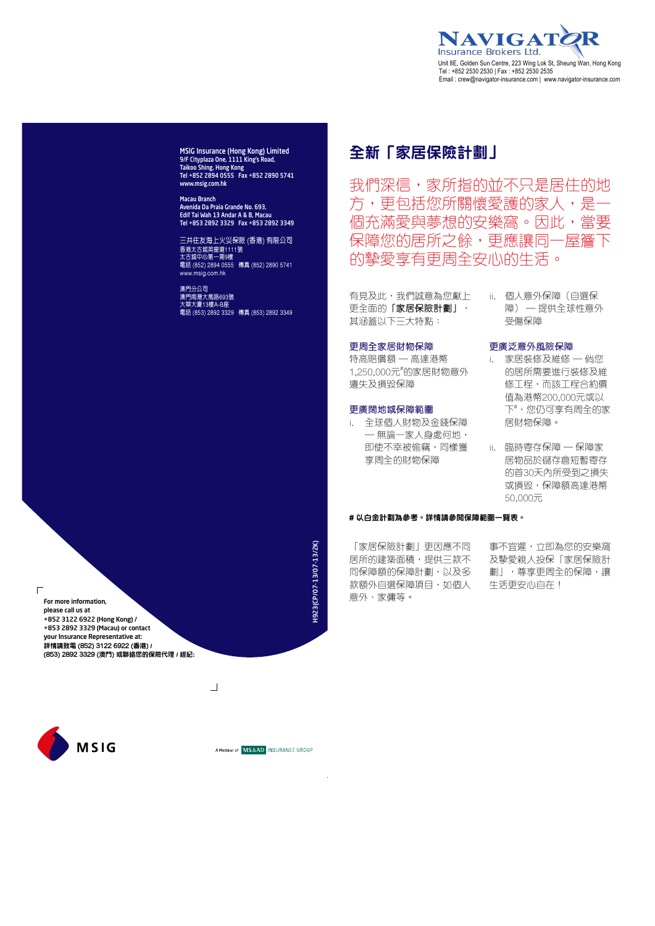

MSIG Insurance (Hong Kong) Limited 9/F Cityplaza One, 1111 King's Road, Taikoo Shing, Hong Kong Tel +852 2894 0555 Fax +852 2890 5741 www.msig.com.hk

Macau Branch Avenida Da Praia Grande No. 693, Edif Tai Wah 13 Andar A & B, Macau Tel +853 2892 3329 Fax +853 2892 3349

三井住友海上火災保險 (香港) 有限公司 香港太古城英皇道1111號 太古城中心第一期9樓 電話 (852) 2894 0555 傳真 (852) 2890 5741 www.msig.com.hk

澳門分公司 澳門南灣大馬路693號 大華大廈13樓A-B座 電話 (853) 2892 3329 傳真 (853) 2892 3349

#### **全新「家居保險計劃」**

我們深信,家所指的並不只是居住的地 方,更包括您所關懷愛護的家人,是一 個充滿愛與夢想的安樂窩。因此,當要 保障您的居所之餘,更應讓同一屋簷下 的摯愛享有更周全安心的生活。

有見及此,我們誠意為您獻上 更全面的「家居保險計劃」, 其涵蓋以下三大特點:

#### 更周全家居財物保障

特高賠償額 — 高達港幣 1,250,000元# 的家居財物意外 遺失及損毀保障

#### 更廣闊地域保障範圍

- i. 全球個人財物及金錢保障 — 無論一家人身處何地, 即使不幸被偷竊,同樣獲 享周全的財物保障
- ii. 個人意外保障(自選保 障) — 提供全球性意外 受傷保障

#### 更廣泛意外風險保障

- i. 家居裝修及維修 倘您 的居所需要進行裝修及維 修工程,而該工程合約價 值為港幣200,000元或以 下# ,您仍可享有周全的家 居財物保障。
- ii. 臨時寄存保障 保障家 居物品於儲存倉短暫寄存 的首30天內所受到之損失 或損毁,保障額高達港幣 50,000元

#### **# 以白金計劃為參考。詳情請參閱保障範圍一覽表。**

「家居保險計劃」更因應不同 居所的建築面積,提供三款不 同保障額的保障計劃,以及多 款額外自選保障項目,如個人 意外、家傭等。

事不宜遲,立即為您的安樂窩 及摯愛親人投保「家居保險計 劃」,尊享更周全的保障,讓 生活更安心自在!

 $\Box$ For more information, please call us at +852 3122 6922 (Hong Kong) / +853 2892 3329 (Macau) or contact your Insurance Representative at: **詳情請致電 (852) 3122 6922 (香港) / (853) 2892 3329 (澳門) 或聯絡您的保險代理 / 經紀:**

**MSIG** 



H923(CP/07-13/07-13/2K) H923(CP/07-13/07-13/2K)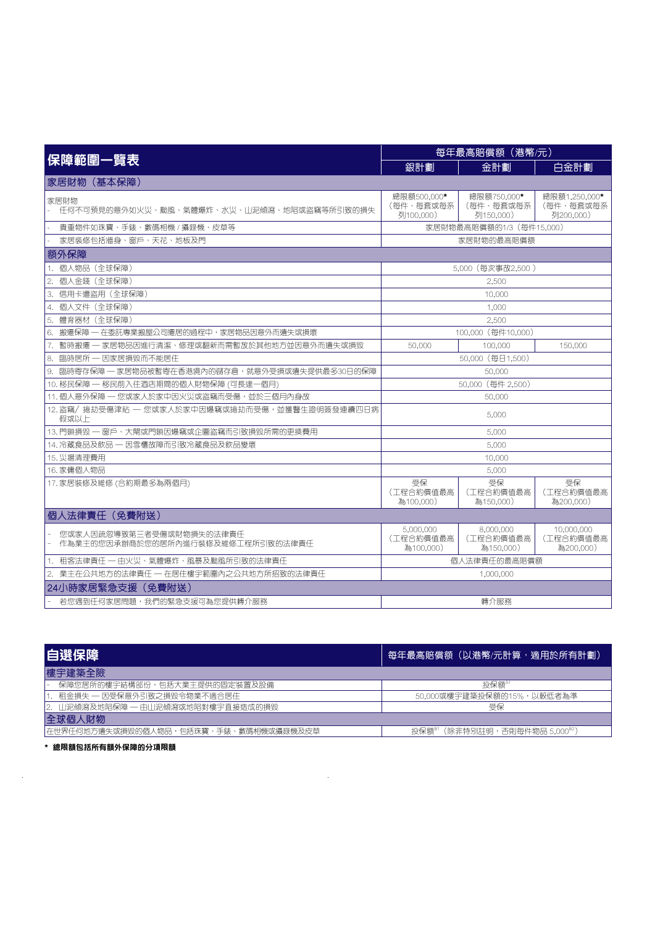|                                                               | 每年最高賠償額 (港幣/元)                        |                                       |                                          |
|---------------------------------------------------------------|---------------------------------------|---------------------------------------|------------------------------------------|
| 保障範圍一覽表                                                       | 銀計劃                                   | 金計劃                                   | 白金計劃                                     |
| 家居財物(基本保障)                                                    |                                       |                                       |                                          |
| 家居財物<br> 仟何不可預見的意外如火災、颱風、氣體爆炸、水災、   泥傾瀉、地陷或盜竊等所引致的損失          | 總限額500,000★<br>(每件、每套或每系<br>列100.000) | 總限額750,000★<br>(每件、每套或每系<br>列150.000) | 總限額1.250,000 ★<br>(每件、每套或每系<br>列200,000) |
| 貴重物件如珠寶、手錶、數碼相機 / 攝錄機、皮草等                                     |                                       | 家居財物最高賠償額的1/3 (每件15,000)              |                                          |
| 家居裝修包括牆身、窗戶、天花、地板及門                                           |                                       | 家居財物的最高賠償額                            |                                          |
| 額外保障                                                          |                                       |                                       |                                          |
| 1. 個人物品 (全球保障)                                                |                                       | 5,000 (每次事故2,500)                     |                                          |
| 2. 個人金錢 (全球保障)                                                |                                       | 2.500                                 |                                          |
| 3. 信用卡遭盜用(全球保障)                                               |                                       | 10,000                                |                                          |
| 4. 個人文件 (全球保障)                                                | 1,000                                 |                                       |                                          |
| 5. 體育器材 (全球保障)                                                | 2.500                                 |                                       |                                          |
| 6. 搬遷保障 - 在委託專業搬屋公司遷居的過程中,家居物品因意外而潰失或損壞<br>100,000 (每件10,000) |                                       |                                       |                                          |
| 7. 暫時搬遷 ─ 家居物品因進行清潔、修理或翻新而需暫放於其他地方並因意外而潰失或損毀                  | 50,000<br>100,000<br>150,000          |                                       |                                          |
| 8.<br>臨時居所 一 因家居損毀而不能居住                                       |                                       | 50,000 (每日1,500)                      |                                          |
| 9. 臨時寄存保障 - 家居物品被暫寄在香港境內的儲存倉,就意外受損或遺失提供最多30日的保障               |                                       | 50,000                                |                                          |
| 10. 移民保障 一 移民前入住酒店期間的個人財物保障 (可長達一個月)                          | 50,000 (每件 2,500)                     |                                       |                                          |
| 11. 個人意外保障 一 您或家人於家中因火災或盜竊而受傷,並於三個月內身故                        | 50,000                                |                                       |                                          |
| 12. 盜竊/ 搶劫受傷津貼 — 您或家人於家中因爆竊或搶劫而受傷,並獲醫生證明簽發連續四日病<br>假或以上       | 5,000                                 |                                       |                                          |
| 13.門鎖損毁 一 窗戶、大閘或門鎖因爆竊或企圖盜竊而引致損毀所需的更換費用                        | 5,000                                 |                                       |                                          |
| 14. 冷藏食品及飲品 — 因雪櫃故障而引致冷藏食品及飲品變壞                               | 5,000                                 |                                       |                                          |
| 15. 災場清理費用                                                    |                                       | 10,000                                |                                          |
| 16.家傭個人物品                                                     |                                       | 5,000                                 |                                          |
| 17. 家居装修及維修 (合約期最多為兩個月)                                       | 受保<br>(工程合約價值最高<br>為100.000)          | 受保<br>(工程合約價值最高<br>為150,000)          | 受保<br>(工程合約價值最高<br>為200,000)             |
| 個人法律責任 (免費附送)                                                 |                                       |                                       |                                          |
| 您或家人因疏忽導致第三者受傷或財物損失的法律責仟<br>作為業主的您因承辦商於您的居所內進行裝修及維修工程所引致的法律責任 | 5,000,000<br>(工程合約價值最高)<br>為100,000)  | 8,000,000<br>(工程合約價值最高)<br>為150,000)  | 10,000,000<br>(工程合約價值最高)<br>為200.000)    |
| 1. 租客法律責仟 一 由火災、氣體爆炸、風暴及颱風所引致的法律責仟                            |                                       | 個人法律責仟的最高賠償額                          |                                          |
| 2. 業主在公共地方的法律責任 - 在居住樓宇範圍內之公共地方所招致的法律責任                       |                                       | 1,000,000                             |                                          |
| 24小時家居緊急支援(免費附送)                                              |                                       |                                       |                                          |
| 若您遇到仟何家居問題,我們的緊急支援可為您提供轉介服務                                   |                                       | 轉介服務                                  |                                          |

| 自選保障                                  | 每年最高賠償額(以港幣/元計算,適用於所有計劃)                    |  |  |  |
|---------------------------------------|---------------------------------------------|--|--|--|
| 樓宇建築全險                                |                                             |  |  |  |
| 保障您居所的樓宇結構部份,包括大業主提供的固定裝置及設備          | 投保額                                         |  |  |  |
| 租金損失 一 因受保意外引致之損毀令物業不適合居住             | 50.000或樓宇建築投保額的15%,以較低者為準                   |  |  |  |
| 12. 山泥傾瀉及地陷保障 — 由山泥傾瀉或地陷對樓宇直接造成的損毀    | 受保                                          |  |  |  |
| 全球個人財物                                |                                             |  |  |  |
| 在世界任何地方遺失或損毀的個人物品,包括珠寶、手錶、數碼相機或攝錄機及皮草 | (除非特別註明,否則每件物品 5.000 <sup>82</sup> )<br>投保額 |  |  |  |
|                                       |                                             |  |  |  |

 $\mathcal{L}_{\mathcal{A}}$ 

**\* 總限額包括所有額外保障的分項限額** 

 $\hat{\mathcal{A}}$